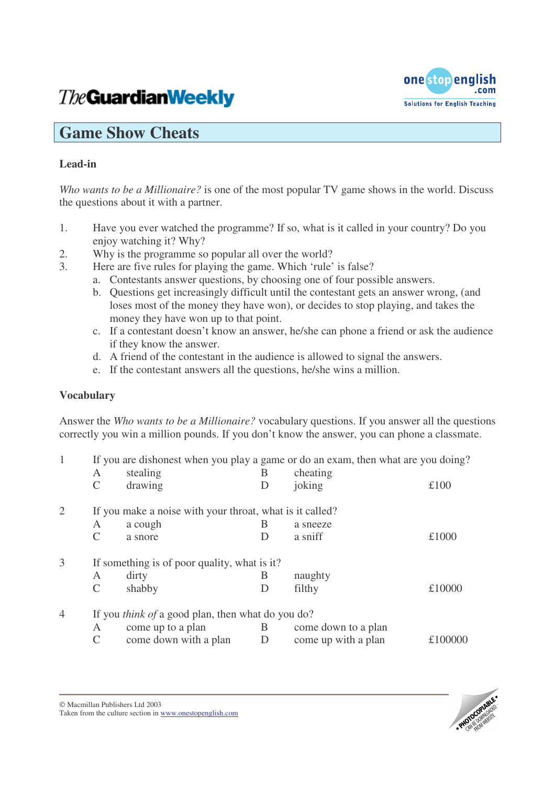# **The Guardian Weekly**



# **Game Show Cheats**

## **Lead-in**

*Who wants to be a Millionaire?* is one of the most popular TV game shows in the world. Discuss the questions about it with a partner.

- 1. Have you ever watched the programme? If so, what is it called in your country? Do you enjoy watching it? Why?
- 2. Why is the programme so popular all over the world?
- 3. Here are five rules for playing the game. Which 'rule' is false?
	- a. Contestants answer questions, by choosing one of four possible answers.
	- b. Questions get increasingly difficult until the contestant gets an answer wrong, (and loses most of the money they have won), or decides to stop playing, and takes the money they have won up to that point.
	- c. If a contestant doesn't know an answer, he/she can phone a friend or ask the audience if they know the answer.
	- d. A friend of the contestant in the audience is allowed to signal the answers.
	- e. If the contestant answers all the questions, he/she wins a million.

### **Vocabulary**

Answer the *Who wants to be a Millionaire?* vocabulary questions. If you answer all the questions correctly you win a million pounds. If you don't know the answer, you can phone a classmate.

| $\mathbf{1}$   | $\mathsf{A}$                                             | stealing                                                 | If you are dishonest when you play a game or do an exam, then what are you doing?<br>cheating |                     |         |  |
|----------------|----------------------------------------------------------|----------------------------------------------------------|-----------------------------------------------------------------------------------------------|---------------------|---------|--|
|                | C                                                        | drawing                                                  | B<br>D                                                                                        | joking              | £100    |  |
| 2              |                                                          | If you make a noise with your throat, what is it called? |                                                                                               |                     |         |  |
|                | A                                                        | a cough                                                  | B                                                                                             | a sneeze            |         |  |
|                | C                                                        | a snore                                                  | D                                                                                             | a sniff             | £1000   |  |
| 3              |                                                          | If something is of poor quality, what is it?             |                                                                                               |                     |         |  |
|                | A                                                        | dirty                                                    | B                                                                                             | naughty             |         |  |
|                | C                                                        | shabby                                                   | D                                                                                             | filthy              | £10000  |  |
| $\overline{4}$ | If you <i>think of</i> a good plan, then what do you do? |                                                          |                                                                                               |                     |         |  |
|                | A                                                        | come up to a plan                                        | B                                                                                             | come down to a plan |         |  |
|                | C                                                        | come down with a plan                                    | D                                                                                             | come up with a plan | £100000 |  |



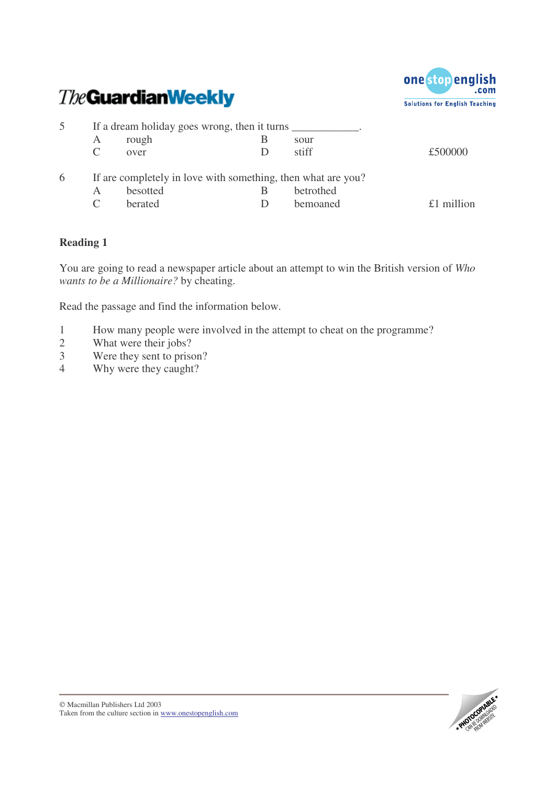



|   | If a dream holiday goes wrong, then it turns |                                                                                     |   |                       |         |
|---|----------------------------------------------|-------------------------------------------------------------------------------------|---|-----------------------|---------|
|   | А                                            | rough                                                                               | В | sour                  |         |
|   |                                              | over                                                                                |   | stiff                 | £500000 |
| 6 | A                                            | If are completely in love with something, then what are you?<br>besotted<br>berated |   | betrothed<br>bemoaned | million |

#### **Reading 1**

You are going to read a newspaper article about an attempt to win the British version of *Who wants to be a Millionaire?* by cheating.

Read the passage and find the information below.

- 1 How many people were involved in the attempt to cheat on the programme?
- 2 What were their jobs?<br>3 Were they sent to prise
- Were they sent to prison?
- 4 Why were they caught?

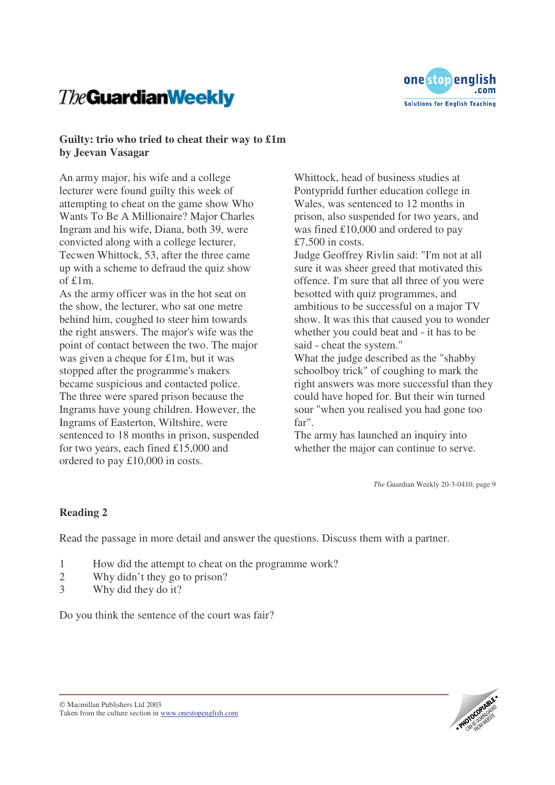# **The Guardian Weekly**



#### **Guilty: trio who tried to cheat their way to £1m by Jeevan Vasagar**

An army major, his wife and a college lecturer were found guilty this week of attempting to cheat on the game show Who Wants To Be A Millionaire? Major Charles Ingram and his wife, Diana, both 39, were convicted along with a college lecturer, Tecwen Whittock, 53, after the three came up with a scheme to defraud the quiz show of £1m.

As the army officer was in the hot seat on the show, the lecturer, who sat one metre behind him, coughed to steer him towards the right answers. The major's wife was the point of contact between the two. The major was given a cheque for £1m, but it was stopped after the programme's makers became suspicious and contacted police. The three were spared prison because the Ingrams have young children. However, the Ingrams of Easterton, Wiltshire, were sentenced to 18 months in prison, suspended for two years, each fined £15,000 and ordered to pay £10,000 in costs.

Whittock, head of business studies at Pontypridd further education college in Wales, was sentenced to 12 months in prison, also suspended for two years, and was fined £10,000 and ordered to pay  $£7,500$  in costs.

Judge Geoffrey Rivlin said: "I'm not at all sure it was sheer greed that motivated this offence. I'm sure that all three of you were besotted with quiz programmes, and ambitious to be successful on a major TV show. It was this that caused you to wonder whether you could beat and - it has to be said - cheat the system."

What the judge described as the "shabby schoolboy trick" of coughing to mark the right answers was more successful than they could have hoped for. But their win turned sour "when you realised you had gone too far".

The army has launched an inquiry into whether the major can continue to serve.

*The* Guardian Weekly 20-3-0410, page 9

#### **Reading 2**

Read the passage in more detail and answer the questions. Discuss them with a partner.

- 1 How did the attempt to cheat on the programme work?
- 2 Why didn't they go to prison?
- 3 Why did they do it?

Do you think the sentence of the court was fair?

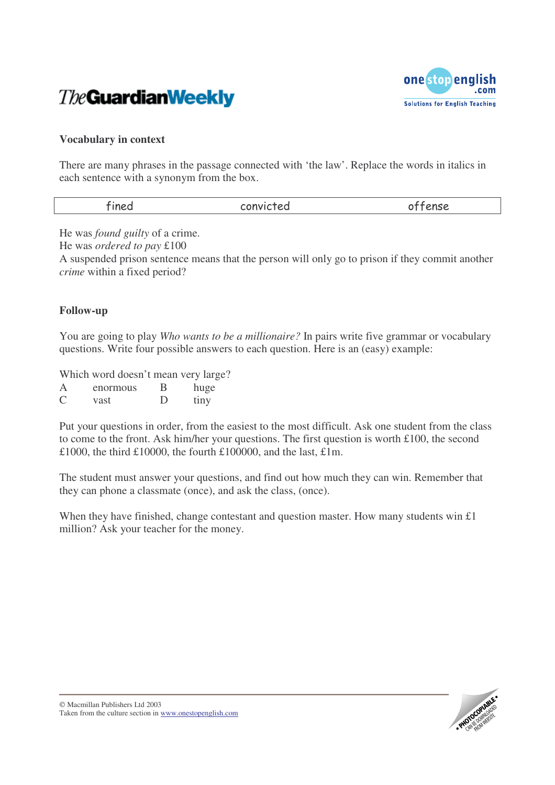



#### **Vocabulary in context**

There are many phrases in the passage connected with 'the law'. Replace the words in italics in each sentence with a synonym from the box.

| احماح    |           | ---- |
|----------|-----------|------|
| $\cdots$ | -onvicted | ---- |
|          |           |      |

He was *found guilty* of a crime.

He was *ordered to pay* £100

A suspended prison sentence means that the person will only go to prison if they commit another *crime* within a fixed period?

#### **Follow-up**

You are going to play *Who wants to be a millionaire?* In pairs write five grammar or vocabulary questions. Write four possible answers to each question. Here is an (easy) example:

Which word doesn't mean very large?

| $\mathsf{A}$ | enormous | В | huge |
|--------------|----------|---|------|
| C            | vast     | D | tiny |

Put your questions in order, from the easiest to the most difficult. Ask one student from the class to come to the front. Ask him/her your questions. The first question is worth £100, the second £1000, the third £10000, the fourth £100000, and the last, £1m.

The student must answer your questions, and find out how much they can win. Remember that they can phone a classmate (once), and ask the class, (once).

When they have finished, change contestant and question master. How many students win £1 million? Ask your teacher for the money.

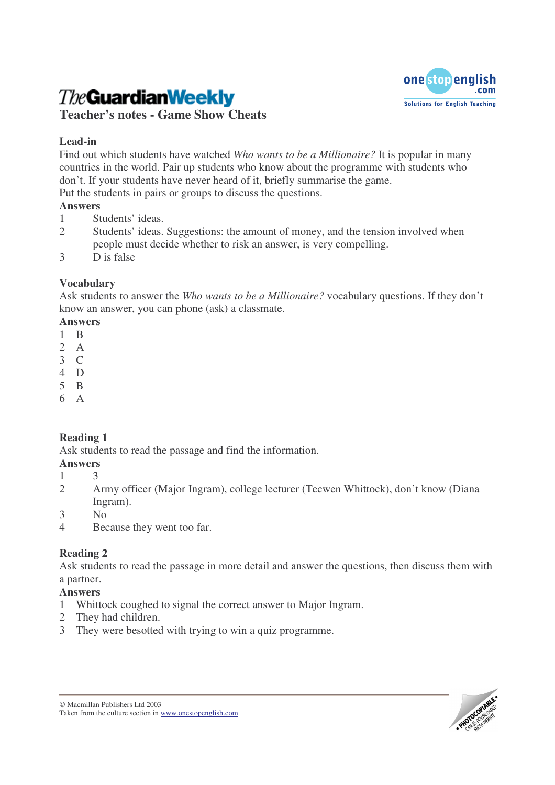# **The Guardian Weekly**



**Teacher's notes - Game Show Cheats**

## **Lead-in**

Find out which students have watched *Who wants to be a Millionaire?* It is popular in many countries in the world. Pair up students who know about the programme with students who don't. If your students have never heard of it, briefly summarise the game.

Put the students in pairs or groups to discuss the questions.

# **Answers**

- 1 Students' ideas.
- 2 Students' ideas. Suggestions: the amount of money, and the tension involved when people must decide whether to risk an answer, is very compelling.
- 3 D is false

# **Vocabulary**

Ask students to answer the *Who wants to be a Millionaire?* vocabulary questions. If they don't know an answer, you can phone (ask) a classmate.

### **Answers**

- 1 B
- 2 A
- 3 C
- 4 D
- 5 B 6 A

# **Reading 1**

Ask students to read the passage and find the information.

### **Answers**

- 1 3
- 2 Army officer (Major Ingram), college lecturer (Tecwen Whittock), don't know (Diana Ingram).
- 3 No
- 4 Because they went too far.

# **Reading 2**

Ask students to read the passage in more detail and answer the questions, then discuss them with a partner.

### **Answers**

- 1 Whittock coughed to signal the correct answer to Major Ingram.
- 2 They had children.
- 3 They were besotted with trying to win a quiz programme.